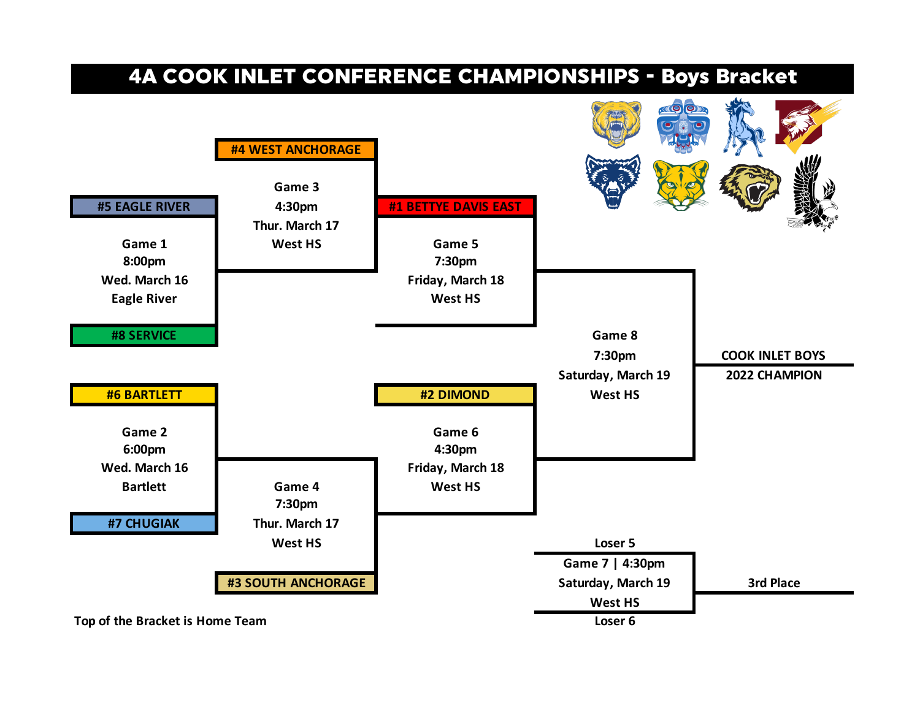